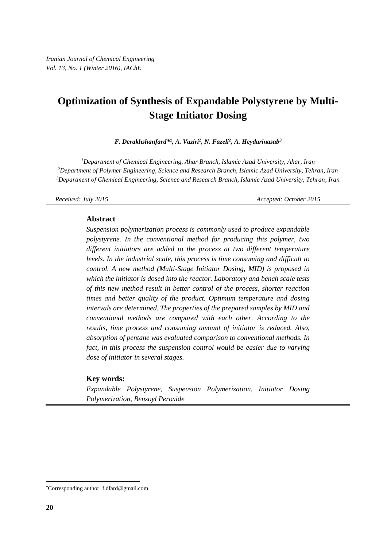# **Optimization of Synthesis of Expandable Polystyrene by Multi-Stage Initiator Dosing**

*F. Derakhshanfard\* 1 , A. Vaziri<sup>2</sup> , N. Fazeli<sup>2</sup> , A. Heydarinasab<sup>3</sup>*

*<sup>1</sup>Department of Chemical Engineering, Ahar Branch, Islamic Azad University, Ahar, Iran <sup>2</sup>Department of Polymer Engineering, Science and Research Branch, Islamic Azad University, Tehran, Iran <sup>3</sup>Department of Chemical Engineering, Science and Research Branch, Islamic Azad University, Tehran, Iran*

*Received: July 2015 Accepted: October 2015*

#### **Abstract**

*Suspension polymerization process is commonly used to produce expandable polystyrene. In the conventional method for producing this polymer, two different initiators are added to the process at two different temperature levels. In the industrial scale, this process is time consuming and difficult to control. A new method (Multi-Stage Initiator Dosing, MID) is proposed in which the initiator is dosed into the reactor. Laboratory and bench scale tests of this new method result in better control of the process, shorter reaction times and better quality of the product. Optimum temperature and dosing intervals are determined. The properties of the prepared samples by MID and conventional methods are compared with each other. According to the results, time process and consuming amount of initiator is reduced. Also, absorption of pentane was evaluated comparison to conventional methods. In fact, in this process the suspension control would be easier due to varying dose of initiator in several stages.*

#### **Key words:**

*Expandable Polystyrene, Suspension Polymerization, Initiator Dosing Polymerization, Benzoyl Peroxide*

 $\overline{a}$ 

<sup>\*</sup>Corresponding author: f.dfard@gmail.com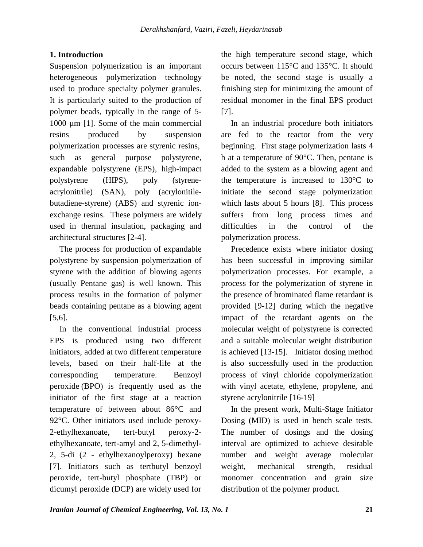# **1. Introduction**

Suspension polymerization is an important heterogeneous polymerization technology used to produce specialty polymer granules. It is particularly suited to the production of polymer beads, typically in the range of 5- 1000 µm [1]. Some of the main commercial resins produced by suspension polymerization processes are styrenic resins, such as general purpose polystyrene, expandable polystyrene (EPS), high-impact polystyrene (HIPS), poly (styreneacrylonitrile) (SAN), poly (acrylonitilebutadiene-styrene) (ABS) and styrenic ionexchange resins. These polymers are widely used in thermal insulation, packaging and architectural structures [2-4].

The process for production of expandable polystyrene by suspension polymerization of styrene with the addition of blowing agents (usually Pentane gas) is well known. This process results in the formation of polymer beads containing pentane as a blowing agent [5,6].

In the conventional industrial process EPS is produced using two different initiators, added at two different temperature levels, based on their half-life at the corresponding temperature. Benzoyl peroxide (BPO) is frequently used as the initiator of the first stage at a reaction temperature of between about 86°C and 92°C. Other initiators used include peroxy-2-ethylhexanoate, tert-butyl peroxy-2 ethylhexanoate, tert-amyl and 2, 5-dimethyl-2, 5-di (2 - ethylhexanoylperoxy) hexane [7]. Initiators such as tertbutyl benzoyl peroxide, tert-butyl phosphate (TBP) or dicumyl peroxide (DCP) are widely used for

the high temperature second stage, which occurs between 115°C and 135°C. It should be noted, the second stage is usually a finishing step for minimizing the amount of residual monomer in the final EPS product [7].

In an industrial procedure both initiators are fed to the reactor from the very beginning. First stage polymerization lasts 4 h at a temperature of 90°C. Then, pentane is added to the system as a blowing agent and the temperature is increased to 130°C to initiate the second stage polymerization which lasts about 5 hours [8]. This process suffers from long process times and difficulties in the control of the polymerization process.

Precedence exists where initiator dosing has been successful in improving similar polymerization processes. For example, a process for the polymerization of styrene in the presence of brominated flame retardant is provided [9-12] during which the negative impact of the retardant agents on the molecular weight of polystyrene is corrected and a suitable molecular weight distribution is achieved [13-15]. Initiator dosing method is also successfully used in the production process of vinyl chloride copolymerization with vinyl acetate, ethylene, propylene, and styrene acrylonitrile [16-19]

In the present work, Multi-Stage Initiator Dosing (MID) is used in bench scale tests. The number of dosings and the dosing interval are optimized to achieve desirable number and weight average molecular weight, mechanical strength, residual monomer concentration and grain size distribution of the polymer product.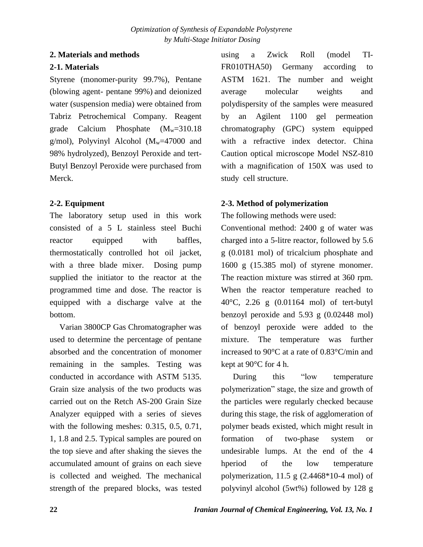#### **2. Materials and methods**

# **2-1. Materials**

Styrene (monomer-purity 99.7%), Pentane (blowing agent- pentane 99%) and deionized water (suspension media) were obtained from Tabriz Petrochemical Company. Reagent grade Calcium Phosphate  $(M_w=310.18)$ g/mol), Polyvinyl Alcohol  $(M_w=47000$  and 98% hydrolyzed), Benzoyl Peroxide and tert-Butyl Benzoyl Peroxide were purchased from Merck.

# **2-2. Equipment**

The laboratory setup used in this work consisted of a 5 L stainless steel Buchi reactor equipped with baffles, thermostatically controlled hot oil jacket, with a three blade mixer. Dosing pump supplied the initiator to the reactor at the programmed time and dose. The reactor is equipped with a discharge valve at the bottom.

Varian 3800CP Gas Chromatographer was used to determine the percentage of pentane absorbed and the concentration of monomer remaining in the samples. Testing was conducted in accordance with ASTM 5135. Grain size analysis of the two products was carried out on the Retch AS-200 Grain Size Analyzer equipped with a series of sieves with the following meshes: 0.315, 0.5, 0.71, 1, 1.8 and 2.5. Typical samples are poured on the top sieve and after shaking the sieves the accumulated amount of grains on each sieve is collected and weighed. The mechanical strength of the prepared blocks, was tested using a Zwick Roll (model TI-FR010THA50) Germany according to ASTM 1621. The number and weight average molecular weights and polydispersity of the samples were measured by an Agilent 1100 gel permeation chromatography (GPC) system equipped with a refractive index detector. China Caution optical microscope Model NSZ-810 with a magnification of 150X was used to study cell structure.

# **2-3. Method of polymerization**

The following methods were used:

Conventional method: 2400 g of water was charged into a 5-litre reactor, followed by 5.6 g (0.0181 mol) of tricalcium phosphate and 1600 g (15.385 mol) of styrene monomer. The reaction mixture was stirred at 360 rpm. When the reactor temperature reached to 40°C, 2.26 g (0.01164 mol) of tert-butyl benzoyl peroxide and 5.93 g (0.02448 mol) of benzoyl peroxide were added to the mixture. The temperature was further increased to 90°C at a rate of 0.83°C/min and kept at 90°C for 4 h.

During this "low temperature" polymerization" stage, the size and growth of the particles were regularly checked because during this stage, the risk of agglomeration of polymer beads existed, which might result in formation of two-phase system or undesirable lumps. At the end of the 4 hperiod of the low temperature polymerization, 11.5 g (2.4468\*10-4 mol) of polyvinyl alcohol (5wt%) followed by 128 g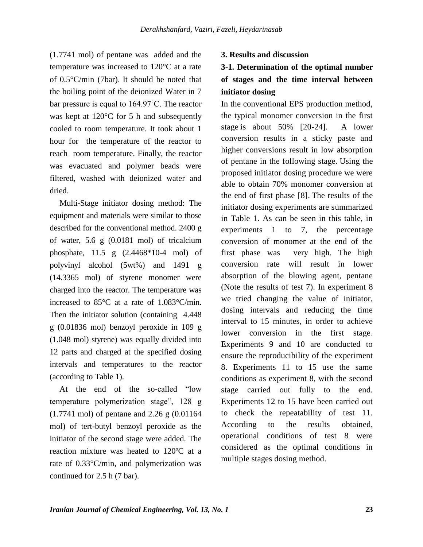(1.7741 mol) of pentane was added and the temperature was increased to 120°C at a rate of 0.5°C/min (7bar). It should be noted that the boiling point of the deionized Water in 7 bar pressure is equal to 164.97˚C. The reactor was kept at 120°C for 5 h and subsequently cooled to room temperature. It took about 1 hour for the temperature of the reactor to reach room temperature. Finally, the reactor was evacuated and polymer beads were filtered, washed with deionized water and dried.

Multi-Stage initiator dosing method: The equipment and materials were similar to those described for the conventional method. 2400 g of water, 5.6 g (0.0181 mol) of tricalcium phosphate, 11.5 g (2.4468\*10-4 mol) of polyvinyl alcohol (5wt%) and 1491 g (14.3365 mol) of styrene monomer were charged into the reactor. The temperature was increased to 85°C at a rate of 1.083°C/min. Then the initiator solution (containing 4.448) g (0.01836 mol) benzoyl peroxide in 109 g (1.048 mol) styrene) was equally divided into 12 parts and charged at the specified dosing intervals and temperatures to the reactor (according to Table 1).

At the end of the so-called "low temperature polymerization stage", 128 g (1.7741 mol) of pentane and 2.26 g (0.01164 mol) of tert-butyl benzoyl peroxide as the initiator of the second stage were added. The reaction mixture was heated to 120ºC at a rate of 0.33°C/min, and polymerization was continued for 2.5 h (7 bar).

#### **3. Results and discussion**

# **3-1. Determination of the optimal number of stages and the time interval between initiator dosing**

In the conventional EPS production method, the typical monomer conversion in the first stage is about 50% [20-24]. A lower conversion results in a sticky paste and higher conversions result in low absorption of pentane in the following stage. Using the proposed initiator dosing procedure we were able to obtain 70% monomer conversion at the end of first phase [8]. The results of the initiator dosing experiments are summarized in Table 1. As can be seen in this table, in experiments 1 to 7, the percentage conversion of monomer at the end of the first phase was very high. The high conversion rate will result in lower absorption of the blowing agent, pentane (Note the results of test 7). In experiment 8 we tried changing the value of initiator, dosing intervals and reducing the time interval to 15 minutes, in order to achieve lower conversion in the first stage. Experiments 9 and 10 are conducted to ensure the reproducibility of the experiment 8. Experiments 11 to 15 use the same conditions as experiment 8, with the second stage carried out fully to the end. Experiments 12 to 15 have been carried out to check the repeatability of test 11. According to the results obtained, operational conditions of test 8 were considered as the optimal conditions in multiple stages dosing method.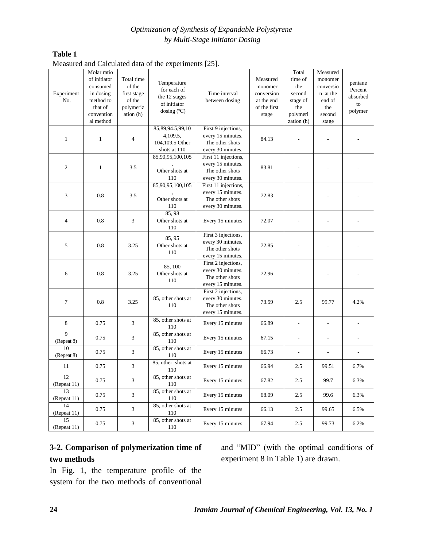### *Optimization of Synthesis of Expandable Polystyrene by Multi-Stage Initiator Dosing*

#### **Table 1**

|  | Measured and Calculated data of the experiments [25]. |  |  |  |  |  |
|--|-------------------------------------------------------|--|--|--|--|--|
|--|-------------------------------------------------------|--|--|--|--|--|

|                | Molar ratio<br>of initiator<br>consumed | Total time<br>of the | Temperature        |                      | Measured<br>monomer | Total<br>time of<br>the  | Measured<br>monomer<br>conversio | pentane  |
|----------------|-----------------------------------------|----------------------|--------------------|----------------------|---------------------|--------------------------|----------------------------------|----------|
| Experiment     | in dosing                               | first stage          | for each of        | Time interval        | conversion          | second                   | n at the                         | Percent  |
| No.            | method to                               | of the               | the 12 stages      | between dosing       | at the end          | stage of                 | end of                           | absorbed |
|                | that of                                 | polymeriz            | of initiator       |                      | of the first        | the                      | the                              | to       |
|                | convention                              | ation (h)            | dosing $(C)$       |                      | stage               | polymeri                 | second                           | polymer  |
|                | al method                               |                      |                    |                      |                     | zation (h)               | stage                            |          |
|                |                                         |                      | 85,89,94.5,99,10   | First 9 injections,  |                     |                          |                                  |          |
|                |                                         |                      | 4,109.5,           | every 15 minutes.    |                     |                          |                                  |          |
| $\mathbf{1}$   | $\mathbf{1}$                            | $\overline{4}$       | 104,109.5 Other    | The other shots      | 84.13               |                          |                                  |          |
|                |                                         |                      | shots at 110       | every 30 minutes.    |                     |                          |                                  |          |
|                |                                         |                      | 85,90,95,100,105   | First 11 injections, |                     |                          |                                  |          |
|                |                                         |                      |                    | every 15 minutes.    |                     |                          |                                  |          |
| $\overline{c}$ | $\mathbf{1}$                            | 3.5                  | Other shots at     | The other shots      | 83.81               |                          |                                  |          |
|                |                                         |                      | 110                | every 30 minutes.    |                     |                          |                                  |          |
|                |                                         |                      | 85,90,95,100,105   | First 11 injections, |                     |                          |                                  |          |
|                |                                         |                      |                    | every 15 minutes.    |                     |                          |                                  |          |
| 3              | 0.8                                     | 3.5                  | Other shots at     | The other shots      | 72.83               |                          |                                  |          |
|                |                                         |                      | 110                | every 30 minutes.    |                     |                          |                                  |          |
|                |                                         |                      | 85,98              |                      |                     |                          |                                  |          |
| $\overline{4}$ | 0.8                                     | 3                    | Other shots at     | Every 15 minutes     | 72.07               |                          |                                  |          |
|                |                                         |                      | 110                |                      |                     |                          |                                  |          |
|                |                                         |                      | 85, 95             | First 3 injections,  |                     |                          |                                  |          |
| 5              | 0.8                                     | 3.25                 | Other shots at     | every 30 minutes.    | 72.85               |                          |                                  |          |
|                |                                         |                      | 110                | The other shots      |                     |                          |                                  |          |
|                |                                         |                      |                    | every 15 minutes.    |                     |                          |                                  |          |
|                |                                         |                      | 85, 100            | First 2 injections,  |                     |                          |                                  |          |
| 6              | 0.8                                     | 3.25                 | Other shots at     | every 30 minutes.    | 72.96               |                          |                                  |          |
|                |                                         |                      | 110                | The other shots      |                     |                          |                                  |          |
|                |                                         |                      |                    | every 15 minutes.    |                     |                          |                                  |          |
|                |                                         |                      |                    | First 2 injections,  |                     |                          |                                  |          |
| 7              | 0.8                                     | 3.25                 | 85, other shots at | every 30 minutes.    | 73.59               | 2.5                      | 99.77                            | 4.2%     |
|                |                                         |                      | 110                | The other shots      |                     |                          |                                  |          |
|                |                                         |                      |                    | every 15 minutes.    |                     |                          |                                  |          |
| 8              | 0.75                                    | 3                    | 85, other shots at | Every 15 minutes     | 66.89               | $\overline{\phantom{a}}$ | $\overline{a}$                   | L,       |
|                |                                         |                      | 110                |                      |                     |                          |                                  |          |
| $\overline{9}$ | 0.75                                    | 3                    | 85, other shots at | Every 15 minutes     | 67.15               | $\overline{\phantom{a}}$ | $\overline{a}$                   |          |
| (Repeat 8)     |                                         |                      | 110                |                      |                     |                          |                                  |          |
| 10             | 0.75                                    | 3                    | 85, other shots at | Every 15 minutes     | 66.73               | ÷,                       | $\overline{a}$                   |          |
| (Repeat 8)     |                                         |                      | 110                |                      |                     |                          |                                  |          |
| 11             | 0.75                                    | 3                    | 85, other shots at | Every 15 minutes     | 66.94               | 2.5                      | 99.51                            | 6.7%     |
|                |                                         |                      | 110                |                      |                     |                          |                                  |          |
| 12             | 0.75                                    | 3                    | 85, other shots at | Every 15 minutes     | 67.82               | $2.5\,$                  | 99.7                             | 6.3%     |
| (Repeat 11)    |                                         |                      | 110                |                      |                     |                          |                                  |          |
| 13             | 0.75                                    | 3                    | 85, other shots at | Every 15 minutes     | 68.09               | 2.5                      | 99.6                             | 6.3%     |
| (Repeat 11)    |                                         |                      | 110                |                      |                     |                          |                                  |          |
| 14             | 0.75                                    | 3                    | 85, other shots at | Every 15 minutes     | 66.13               | 2.5                      | 99.65                            | 6.5%     |
| (Repeat 11)    |                                         |                      | 110                |                      |                     |                          |                                  |          |
| 15             | 0.75                                    | 3                    | 85, other shots at | Every 15 minutes     | 67.94               | 2.5                      | 99.73                            | 6.2%     |
| (Repeat 11)    |                                         |                      | 110                |                      |                     |                          |                                  |          |

# **3-2. Comparison of polymerization time of two methods**

and "MID" (with the optimal conditions of experiment 8 in Table 1) are drawn.

In Fig. 1, the temperature profile of the system for the two methods of conventional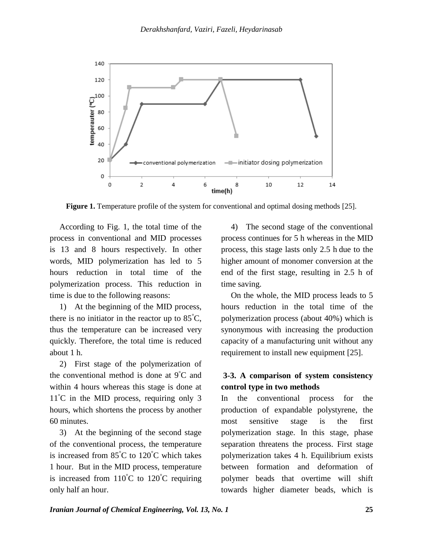

**Figure 1.** Temperature profile of the system for conventional and optimal dosing methods [25].

According to Fig. 1, the total time of the process in conventional and MID processes is 13 and 8 hours respectively. In other words, MID polymerization has led to 5 hours reduction in total time of the polymerization process. This reduction in time is due to the following reasons:

1) At the beginning of the MID process, there is no initiator in the reactor up to  $85^{\circ}$ C, thus the temperature can be increased very quickly. Therefore, the total time is reduced about 1 h.

2) First stage of the polymerization of the conventional method is done at  $9^{\circ}$ C and within 4 hours whereas this stage is done at 11°C in the MID process, requiring only 3 hours, which shortens the process by another 60 minutes.

3) At the beginning of the second stage of the conventional process, the temperature is increased from  $85^{\circ}$ C to  $120^{\circ}$ C which takes 1 hour. But in the MID process, temperature is increased from  $110^{\circ}$ C to  $120^{\circ}$ C requiring only half an hour.

4) The second stage of the conventional process continues for 5 h whereas in the MID process, this stage lasts only 2.5 h due to the higher amount of monomer conversion at the end of the first stage, resulting in 2.5 h of time saving.

On the whole, the MID process leads to 5 hours reduction in the total time of the polymerization process (about 40%) which is synonymous with increasing the production capacity of a manufacturing unit without any requirement to install new equipment [25].

### **3-3. A comparison of system consistency control type in two methods**

In the conventional process for the production of expandable polystyrene, the most sensitive stage is the first polymerization stage. In this stage, phase separation threatens the process. First stage polymerization takes 4 h. Equilibrium exists between formation and deformation of polymer beads that overtime will shift towards higher diameter beads, which is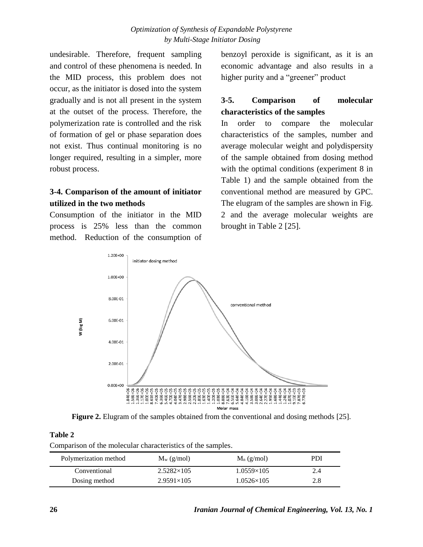undesirable. Therefore, frequent sampling and control of these phenomena is needed. In the MID process, this problem does not occur, as the initiator is dosed into the system gradually and is not all present in the system at the outset of the process. Therefore, the polymerization rate is controlled and the risk of formation of gel or phase separation does not exist. Thus continual monitoring is no longer required, resulting in a simpler, more robust process.

# **3-4. Comparison of the amount of initiator utilized in the two methods**

Consumption of the initiator in the MID process is 25% less than the common method. Reduction of the consumption of benzoyl peroxide is significant, as it is an economic advantage and also results in a higher purity and a "greener" product

# **3-5. Comparison of molecular characteristics of the samples**

In order to compare the molecular characteristics of the samples, number and average molecular weight and polydispersity of the sample obtained from dosing method with the optimal conditions (experiment 8 in Table 1) and the sample obtained from the conventional method are measured by GPC. The elugram of the samples are shown in Fig. 2 and the average molecular weights are brought in Table 2 [25].



**Figure 2.** Elugram of the samples obtained from the conventional and dosing methods [25].

**Table 2**

Comparison of the molecular characteristics of the samples.

| Polymerization method | $M_w$ (g/mol)     | $M_n$ (g/mol)     | PDI |
|-----------------------|-------------------|-------------------|-----|
| Conventional          | $2.5282\times105$ | $1.0559\times105$ | 2.4 |
| Dosing method         | $2.9591\times105$ | $1.0526\times105$ | 2.8 |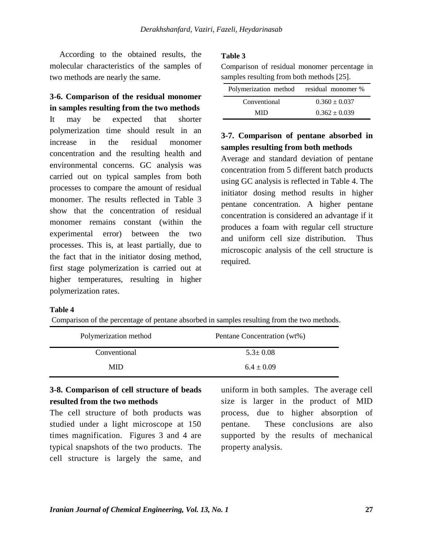According to the obtained results, the molecular characteristics of the samples of two methods are nearly the same.

# **3-6. Comparison of the residual monomer in samples resulting from the two methods**

It may be expected that shorter polymerization time should result in an increase in the residual monomer concentration and the resulting health and environmental concerns. GC analysis was carried out on typical samples from both processes to compare the amount of residual monomer. The results reflected in Table 3 show that the concentration of residual monomer remains constant (within the experimental error) between the two processes. This is, at least partially, due to the fact that in the initiator dosing method, first stage polymerization is carried out at higher temperatures, resulting in higher polymerization rates.

#### **Table 3**

Comparison of residual monomer percentage in samples resulting from both methods [25].

| Polymerization method residual monomer % |                   |
|------------------------------------------|-------------------|
| Conventional                             | $0.360 \pm 0.037$ |
| MID                                      | $0.362 \pm 0.039$ |

# **3-7. Comparison of pentane absorbed in samples resulting from both methods**

Average and standard deviation of pentane concentration from 5 different batch products using GC analysis is reflected in Table 4. The initiator dosing method results in higher pentane concentration. A higher pentane concentration is considered an advantage if it produces a foam with regular cell structure and uniform cell size distribution. Thus microscopic analysis of the cell structure is required.

#### **Table 4**

Comparison of the percentage of pentane absorbed in samples resulting from the two methods.

| Polymerization method | Pentane Concentration (wt%) |
|-----------------------|-----------------------------|
| Conventional          | $5.3 \pm 0.08$              |
| <b>MID</b>            | $6.4 \pm 0.09$              |

### **3-8. Comparison of cell structure of beads resulted from the two methods**

The cell structure of both products was studied under a light microscope at 150 times magnification. Figures 3 and 4 are typical snapshots of the two products. The cell structure is largely the same, and

uniform in both samples. The average cell size is larger in the product of MID process, due to higher absorption of pentane. These conclusions are also supported by the results of mechanical property analysis.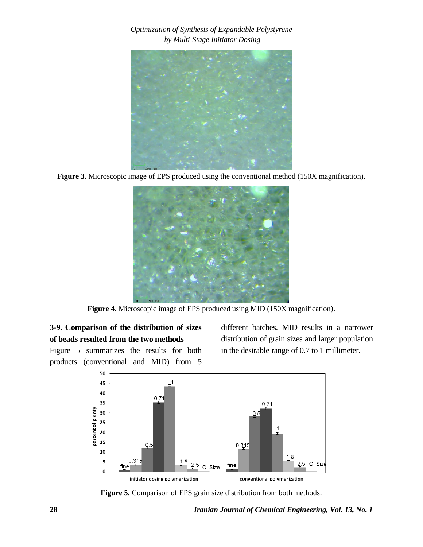*Optimization of Synthesis of Expandable Polystyrene by Multi-Stage Initiator Dosing*



**Figure 3.** Microscopic image of EPS produced using the conventional method (150X magnification).



**Figure 4.** Microscopic image of EPS produced using MID (150X magnification).

# **3-9. Comparison of the distribution of sizes of beads resulted from the two methods**

Figure 5 summarizes the results for both

different batches. MID results in a narrower distribution of grain sizes and larger population in the desirable range of 0.7 to 1 millimeter.



**Figure 5.** Comparison of EPS grain size distribution from both methods.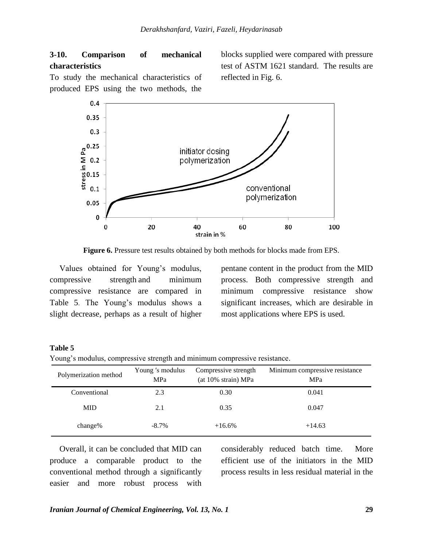### **3-10. Comparison of mechanical characteristics**

blocks supplied were compared with pressure test of ASTM 1621 standard. The results are reflected in Fig. 6.

To study the mechanical characteristics of produced EPS using the two methods, the



**Figure 6.** Pressure test results obtained by both methods for blocks made from EPS.

Values obtained for Young's modulus, compressive strength and minimum compressive resistance are compared in Table 5. The Young's modulus shows a slight decrease, perhaps as a result of higher pentane content in the product from the MID process. Both compressive strength and minimum compressive resistance show significant increases, which are desirable in most applications where EPS is used.

#### **Table 5**

Young's modulus, compressive strength and minimum compressive resistance.

| Polymerization method | Young 's modulus<br>MPa | Compressive strength<br>(at 10% strain) MPa | Minimum compressive resistance<br>MPa |
|-----------------------|-------------------------|---------------------------------------------|---------------------------------------|
| Conventional          | 2.3                     | 0.30                                        | 0.041                                 |
| <b>MID</b>            | 2.1                     | 0.35                                        | 0.047                                 |
| change $%$            | $-8.7\%$                | $+16.6%$                                    | $+14.63$                              |

Overall, it can be concluded that MID can produce a comparable product to the conventional method through a significantly easier and more robust process with

considerably reduced batch time. More efficient use of the initiators in the MID process results in less residual material in the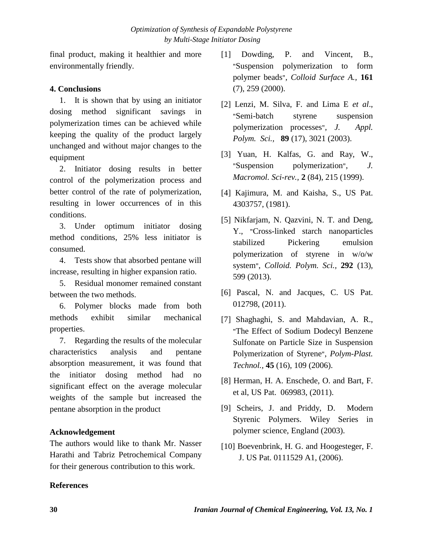final product, making it healthier and more environmentally friendly.

### **4. Conclusions**

1. It is shown that by using an initiator dosing method significant savings in polymerization times can be achieved while keeping the quality of the product largely unchanged and without major changes to the equipment

2. Initiator dosing results in better control of the polymerization process and better control of the rate of polymerization, resulting in lower occurrences of in this conditions.

3. Under optimum initiator dosing method conditions, 25% less initiator is consumed.

4. Tests show that absorbed pentane will increase, resulting in higher expansion ratio.

5. Residual monomer remained constant between the two methods.

6. Polymer blocks made from both methods exhibit similar mechanical properties.

7. Regarding the results of the molecular characteristics analysis and pentane absorption measurement, it was found that the initiator dosing method had no significant effect on the average molecular weights of the sample but increased the pentane absorption in the product

#### **Acknowledgement**

The authors would like to thank Mr. Nasser Harathi and Tabriz Petrochemical Company for their generous contribution to this work.

- [1] Dowding, P. and Vincent, B., "Suspension polymerization to form polymer beads", *Colloid Surface A.,* **161** (7), 259 (2000).
- [2] Lenzi, M. Silva, F. and Lima E *et al*., "Semi-batch styrene suspension polymerization processes", *J. Appl. Polym. Sci.,* **89** (17), 3021 (2003).
- [3] Yuan, H. Kalfas, G. and Ray, W., "Suspension polymerization", *J. Macromol. Sci-rev.,* **2** (84), 215 (1999).
- [4] Kajimura, M. and Kaisha, S., US Pat. 4303757, (1981).
- [5] Nikfarjam, N. Qazvini, N. T. and Deng, Y., "Cross-linked starch nanoparticles stabilized Pickering emulsion polymerization of styrene in w/o/w system", *Colloid. Polym. Sci.,* **292** (13), 599 (2013).
- [6] Pascal, N. and Jacques, C. US Pat. 012798, (2011).
- [7] Shaghaghi, S. and Mahdavian, A. R., "The Effect of Sodium Dodecyl Benzene Sulfonate on Particle Size in Suspension Polymerization of Styrene", *Polym-Plast. Technol.,* **45** (16), 109 (2006).
- [8] Herman, H. A. Enschede, O. and Bart, F. et al, US Pat. 069983, (2011).
- [9] Scheirs, J. and Priddy, D. Modern Styrenic Polymers. Wiley Series in polymer science, England (2003).
- [10] Boevenbrink, H. G. and Hoogesteger, F. J. US Pat. 0111529 A1, (2006).

#### **References**